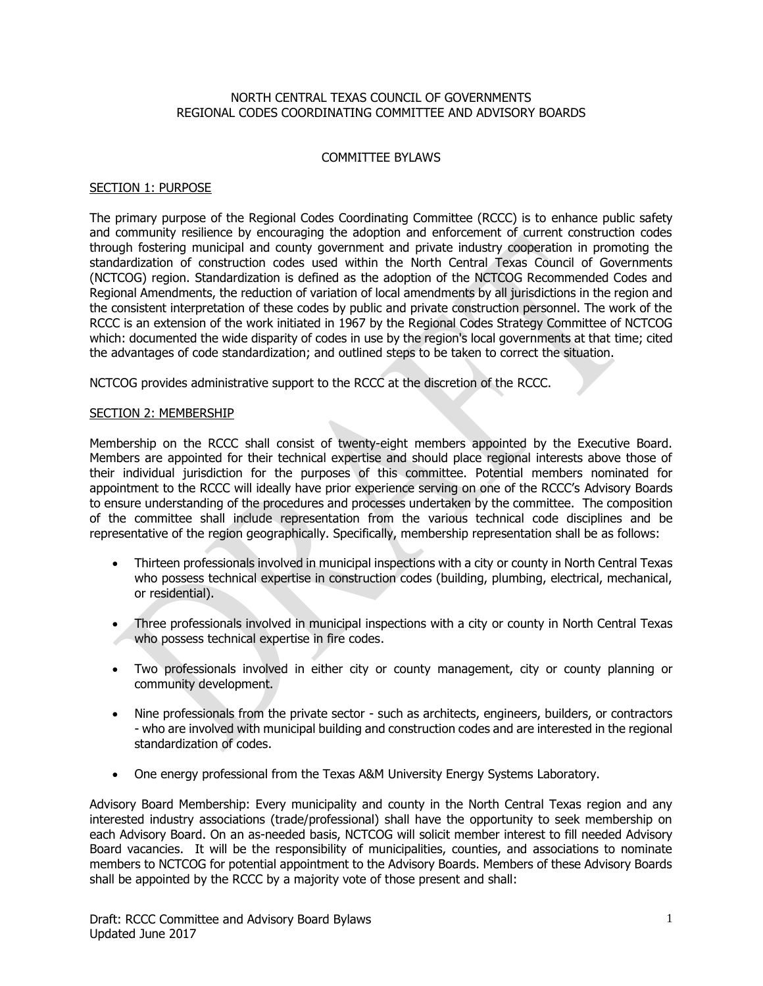### NORTH CENTRAL TEXAS COUNCIL OF GOVERNMENTS REGIONAL CODES COORDINATING COMMITTEE AND ADVISORY BOARDS

# COMMITTEE BYLAWS

# SECTION 1: PURPOSE

The primary purpose of the Regional Codes Coordinating Committee (RCCC) is to enhance public safety and community resilience by encouraging the adoption and enforcement of current construction codes through fostering municipal and county government and private industry cooperation in promoting the standardization of construction codes used within the North Central Texas Council of Governments (NCTCOG) region. Standardization is defined as the adoption of the NCTCOG Recommended Codes and Regional Amendments, the reduction of variation of local amendments by all jurisdictions in the region and the consistent interpretation of these codes by public and private construction personnel. The work of the RCCC is an extension of the work initiated in 1967 by the Regional Codes Strategy Committee of NCTCOG which: documented the wide disparity of codes in use by the region's local governments at that time; cited the advantages of code standardization; and outlined steps to be taken to correct the situation.

NCTCOG provides administrative support to the RCCC at the discretion of the RCCC.

### SECTION 2: MEMBERSHIP

Membership on the RCCC shall consist of twenty-eight members appointed by the Executive Board. Members are appointed for their technical expertise and should place regional interests above those of their individual jurisdiction for the purposes of this committee. Potential members nominated for appointment to the RCCC will ideally have prior experience serving on one of the RCCC's Advisory Boards to ensure understanding of the procedures and processes undertaken by the committee. The composition of the committee shall include representation from the various technical code disciplines and be representative of the region geographically. Specifically, membership representation shall be as follows:

- Thirteen professionals involved in municipal inspections with a city or county in North Central Texas who possess technical expertise in construction codes (building, plumbing, electrical, mechanical, or residential).
- Three professionals involved in municipal inspections with a city or county in North Central Texas who possess technical expertise in fire codes.
- Two professionals involved in either city or county management, city or county planning or community development.
- Nine professionals from the private sector such as architects, engineers, builders, or contractors - who are involved with municipal building and construction codes and are interested in the regional standardization of codes.
- One energy professional from the Texas A&M University Energy Systems Laboratory.

Advisory Board Membership: Every municipality and county in the North Central Texas region and any interested industry associations (trade/professional) shall have the opportunity to seek membership on each Advisory Board. On an as-needed basis, NCTCOG will solicit member interest to fill needed Advisory Board vacancies. It will be the responsibility of municipalities, counties, and associations to nominate members to NCTCOG for potential appointment to the Advisory Boards. Members of these Advisory Boards shall be appointed by the RCCC by a majority vote of those present and shall: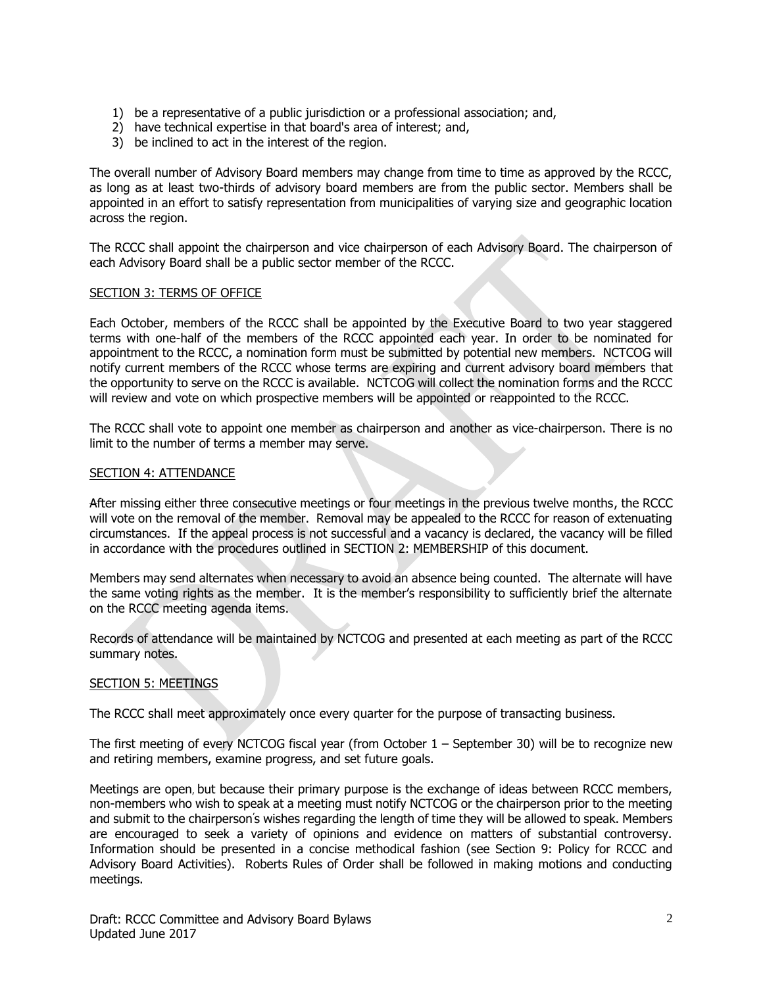- 1) be a representative of a public jurisdiction or a professional association; and,
- 2) have technical expertise in that board's area of interest; and,
- 3) be inclined to act in the interest of the region.

The overall number of Advisory Board members may change from time to time as approved by the RCCC, as long as at least two-thirds of advisory board members are from the public sector. Members shall be appointed in an effort to satisfy representation from municipalities of varying size and geographic location across the region.

The RCCC shall appoint the chairperson and vice chairperson of each Advisory Board. The chairperson of each Advisory Board shall be a public sector member of the RCCC.

### SECTION 3: TERMS OF OFFICE

Each October, members of the RCCC shall be appointed by the Executive Board to two year staggered terms with one-half of the members of the RCCC appointed each year. In order to be nominated for appointment to the RCCC, a nomination form must be submitted by potential new members. NCTCOG will notify current members of the RCCC whose terms are expiring and current advisory board members that the opportunity to serve on the RCCC is available. NCTCOG will collect the nomination forms and the RCCC will review and vote on which prospective members will be appointed or reappointed to the RCCC.

The RCCC shall vote to appoint one member as chairperson and another as vice-chairperson. There is no limit to the number of terms a member may serve.

#### SECTION 4: ATTENDANCE

After missing either three consecutive meetings or four meetings in the previous twelve months, the RCCC will vote on the removal of the member. Removal may be appealed to the RCCC for reason of extenuating circumstances. If the appeal process is not successful and a vacancy is declared, the vacancy will be filled in accordance with the procedures outlined in SECTION 2: MEMBERSHIP of this document.

Members may send alternates when necessary to avoid an absence being counted. The alternate will have the same voting rights as the member. It is the member's responsibility to sufficiently brief the alternate on the RCCC meeting agenda items.

Records of attendance will be maintained by NCTCOG and presented at each meeting as part of the RCCC summary notes.

# SECTION 5: MEETINGS

The RCCC shall meet approximately once every quarter for the purpose of transacting business.

The first meeting of every NCTCOG fiscal year (from October 1 – September 30) will be to recognize new and retiring members, examine progress, and set future goals.

Meetings are open, but because their primary purpose is the exchange of ideas between RCCC members, non-members who wish to speak at a meeting must notify NCTCOG or the chairperson prior to the meeting and submit to the chairperson' s wishes regarding the length of time they will be allowed to speak. Members are encouraged to seek a variety of opinions and evidence on matters of substantial controversy. Information should be presented in a concise methodical fashion (see Section 9: Policy for RCCC and Advisory Board Activities). Roberts Rules of Order shall be followed in making motions and conducting meetings.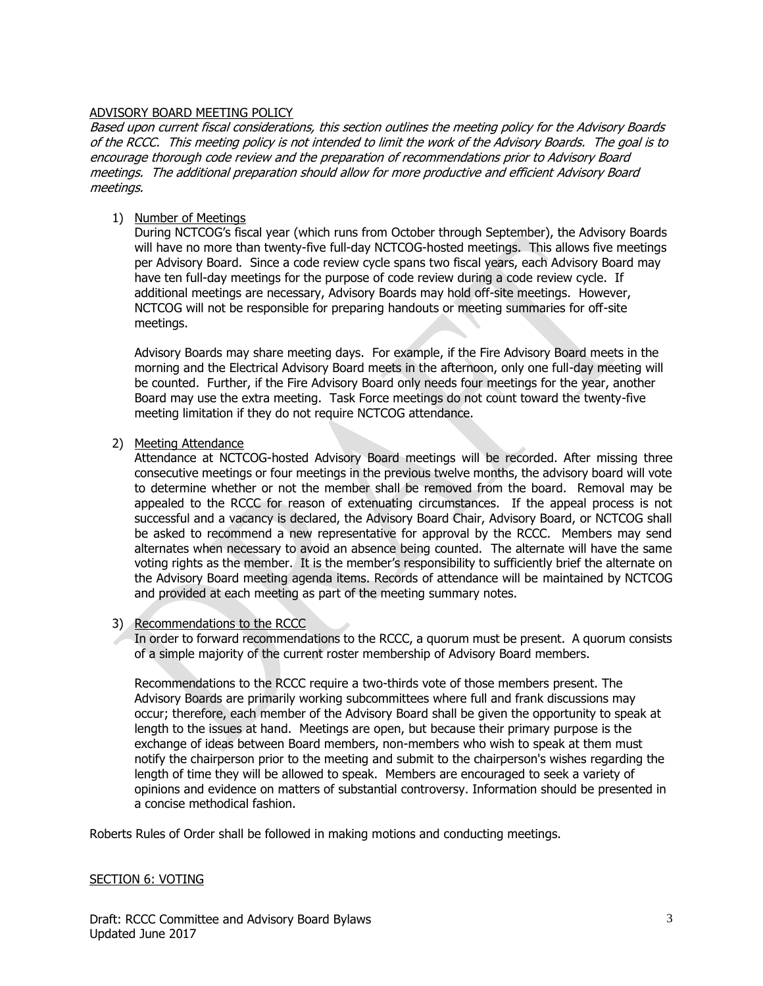### ADVISORY BOARD MEETING POLICY

Based upon current fiscal considerations, this section outlines the meeting policy for the Advisory Boards of the RCCC. This meeting policy is not intended to limit the work of the Advisory Boards. The goal is to encourage thorough code review and the preparation of recommendations prior to Advisory Board meetings. The additional preparation should allow for more productive and efficient Advisory Board meetings.

## 1) Number of Meetings

During NCTCOG's fiscal year (which runs from October through September), the Advisory Boards will have no more than twenty-five full-day NCTCOG-hosted meetings. This allows five meetings per Advisory Board. Since a code review cycle spans two fiscal years, each Advisory Board may have ten full-day meetings for the purpose of code review during a code review cycle. If additional meetings are necessary, Advisory Boards may hold off-site meetings. However, NCTCOG will not be responsible for preparing handouts or meeting summaries for off-site meetings.

Advisory Boards may share meeting days. For example, if the Fire Advisory Board meets in the morning and the Electrical Advisory Board meets in the afternoon, only one full-day meeting will be counted. Further, if the Fire Advisory Board only needs four meetings for the year, another Board may use the extra meeting. Task Force meetings do not count toward the twenty-five meeting limitation if they do not require NCTCOG attendance.

### 2) Meeting Attendance

Attendance at NCTCOG-hosted Advisory Board meetings will be recorded. After missing three consecutive meetings or four meetings in the previous twelve months, the advisory board will vote to determine whether or not the member shall be removed from the board. Removal may be appealed to the RCCC for reason of extenuating circumstances. If the appeal process is not successful and a vacancy is declared, the Advisory Board Chair, Advisory Board, or NCTCOG shall be asked to recommend a new representative for approval by the RCCC. Members may send alternates when necessary to avoid an absence being counted. The alternate will have the same voting rights as the member. It is the member's responsibility to sufficiently brief the alternate on the Advisory Board meeting agenda items. Records of attendance will be maintained by NCTCOG and provided at each meeting as part of the meeting summary notes.

#### 3) Recommendations to the RCCC

In order to forward recommendations to the RCCC, a quorum must be present. A quorum consists of a simple majority of the current roster membership of Advisory Board members.

Recommendations to the RCCC require a two-thirds vote of those members present. The Advisory Boards are primarily working subcommittees where full and frank discussions may occur; therefore, each member of the Advisory Board shall be given the opportunity to speak at length to the issues at hand. Meetings are open, but because their primary purpose is the exchange of ideas between Board members, non-members who wish to speak at them must notify the chairperson prior to the meeting and submit to the chairperson's wishes regarding the length of time they will be allowed to speak. Members are encouraged to seek a variety of opinions and evidence on matters of substantial controversy. Information should be presented in a concise methodical fashion.

Roberts Rules of Order shall be followed in making motions and conducting meetings.

#### SECTION 6: VOTING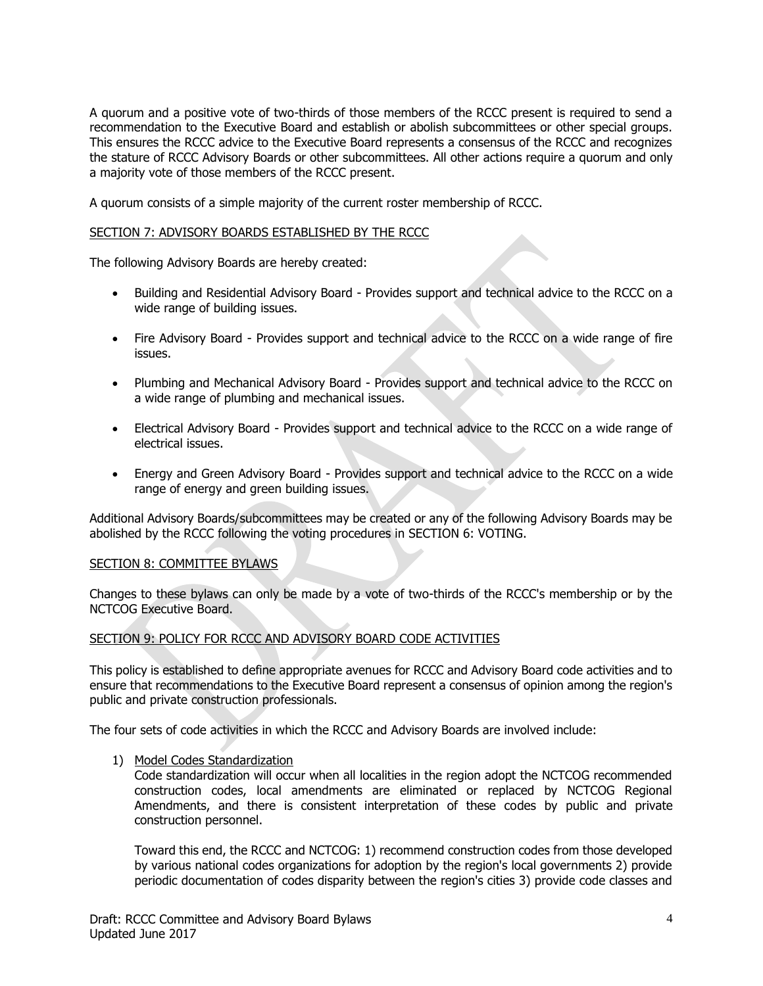A quorum and a positive vote of two-thirds of those members of the RCCC present is required to send a recommendation to the Executive Board and establish or abolish subcommittees or other special groups. This ensures the RCCC advice to the Executive Board represents a consensus of the RCCC and recognizes the stature of RCCC Advisory Boards or other subcommittees. All other actions require a quorum and only a majority vote of those members of the RCCC present.

A quorum consists of a simple majority of the current roster membership of RCCC.

### SECTION 7: ADVISORY BOARDS ESTABLISHED BY THE RCCC

The following Advisory Boards are hereby created:

- Building and Residential Advisory Board Provides support and technical advice to the RCCC on a wide range of building issues.
- Fire Advisory Board Provides support and technical advice to the RCCC on a wide range of fire issues.
- Plumbing and Mechanical Advisory Board Provides support and technical advice to the RCCC on a wide range of plumbing and mechanical issues.
- Electrical Advisory Board Provides support and technical advice to the RCCC on a wide range of electrical issues.
- Energy and Green Advisory Board Provides support and technical advice to the RCCC on a wide range of energy and green building issues.

Additional Advisory Boards/subcommittees may be created or any of the following Advisory Boards may be abolished by the RCCC following the voting procedures in SECTION 6: VOTING.

# SECTION 8: COMMITTEE BYLAWS

Changes to these bylaws can only be made by a vote of two-thirds of the RCCC's membership or by the NCTCOG Executive Board.

# SECTION 9: POLICY FOR RCCC AND ADVISORY BOARD CODE ACTIVITIES

This policy is established to define appropriate avenues for RCCC and Advisory Board code activities and to ensure that recommendations to the Executive Board represent a consensus of opinion among the region's public and private construction professionals.

The four sets of code activities in which the RCCC and Advisory Boards are involved include:

1) Model Codes Standardization

Code standardization will occur when all localities in the region adopt the NCTCOG recommended construction codes, local amendments are eliminated or replaced by NCTCOG Regional Amendments, and there is consistent interpretation of these codes by public and private construction personnel.

Toward this end, the RCCC and NCTCOG: 1) recommend construction codes from those developed by various national codes organizations for adoption by the region's local governments 2) provide periodic documentation of codes disparity between the region's cities 3) provide code classes and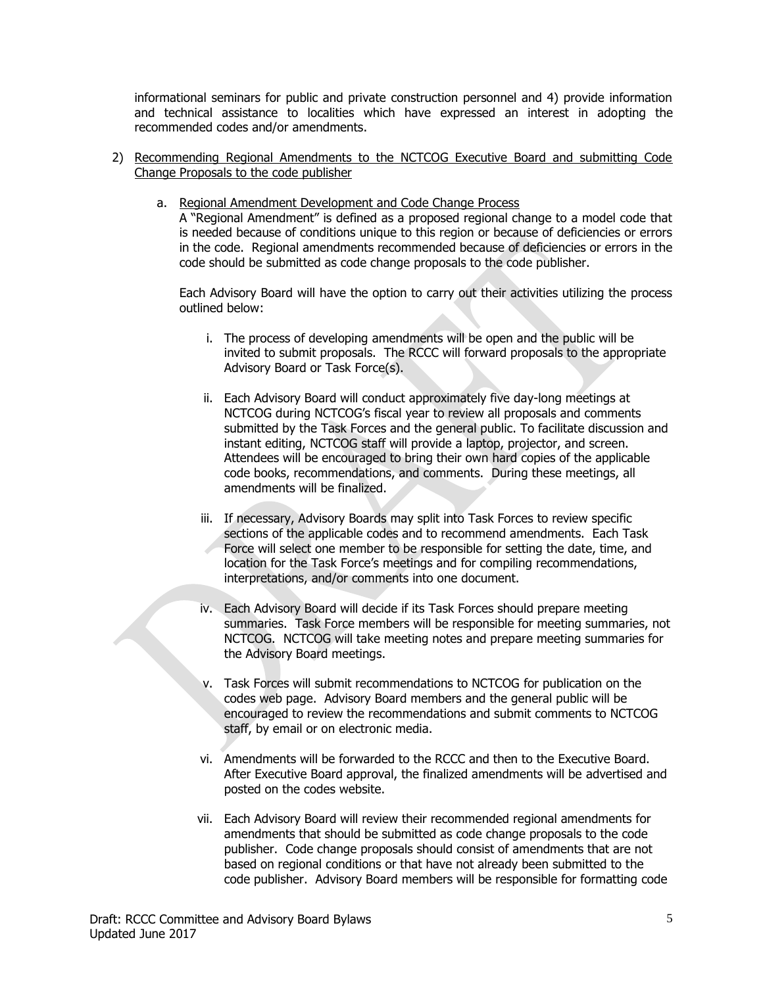informational seminars for public and private construction personnel and 4) provide information and technical assistance to localities which have expressed an interest in adopting the recommended codes and/or amendments.

- 2) Recommending Regional Amendments to the NCTCOG Executive Board and submitting Code Change Proposals to the code publisher
	- a. Regional Amendment Development and Code Change Process

A "Regional Amendment" is defined as a proposed regional change to a model code that is needed because of conditions unique to this region or because of deficiencies or errors in the code. Regional amendments recommended because of deficiencies or errors in the code should be submitted as code change proposals to the code publisher.

Each Advisory Board will have the option to carry out their activities utilizing the process outlined below:

- i. The process of developing amendments will be open and the public will be invited to submit proposals. The RCCC will forward proposals to the appropriate Advisory Board or Task Force(s).
- ii. Each Advisory Board will conduct approximately five day-long meetings at NCTCOG during NCTCOG's fiscal year to review all proposals and comments submitted by the Task Forces and the general public. To facilitate discussion and instant editing, NCTCOG staff will provide a laptop, projector, and screen. Attendees will be encouraged to bring their own hard copies of the applicable code books, recommendations, and comments. During these meetings, all amendments will be finalized.
- iii. If necessary, Advisory Boards may split into Task Forces to review specific sections of the applicable codes and to recommend amendments. Each Task Force will select one member to be responsible for setting the date, time, and location for the Task Force's meetings and for compiling recommendations, interpretations, and/or comments into one document.
- iv. Each Advisory Board will decide if its Task Forces should prepare meeting summaries. Task Force members will be responsible for meeting summaries, not NCTCOG. NCTCOG will take meeting notes and prepare meeting summaries for the Advisory Board meetings.
- v. Task Forces will submit recommendations to NCTCOG for publication on the codes web page. Advisory Board members and the general public will be encouraged to review the recommendations and submit comments to NCTCOG staff, by email or on electronic media.
- vi. Amendments will be forwarded to the RCCC and then to the Executive Board. After Executive Board approval, the finalized amendments will be advertised and posted on the codes website.
- vii. Each Advisory Board will review their recommended regional amendments for amendments that should be submitted as code change proposals to the code publisher. Code change proposals should consist of amendments that are not based on regional conditions or that have not already been submitted to the code publisher. Advisory Board members will be responsible for formatting code